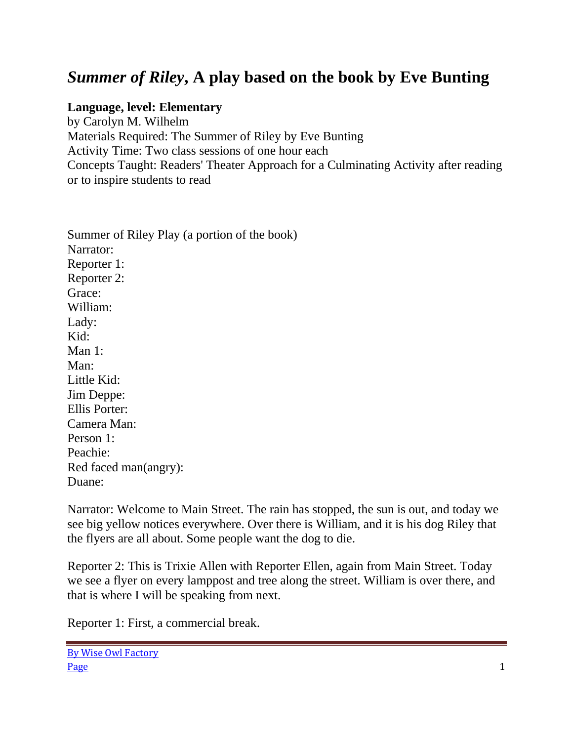## *Summer of Riley***, A play based on the book by Eve Bunting**

## **Language, level: Elementary**

by Carolyn M. Wilhelm Materials Required: The Summer of Riley by Eve Bunting Activity Time: Two class sessions of one hour each Concepts Taught: Readers' Theater Approach for a Culminating Activity after reading or to inspire students to read

Summer of Riley Play (a portion of the book) Narrator: Reporter 1: Reporter 2: Grace: William: Lady: Kid: Man 1: Man: Little Kid: Jim Deppe: Ellis Porter: Camera Man: Person 1: Peachie: Red faced man(angry): Duane:

Narrator: Welcome to Main Street. The rain has stopped, the sun is out, and today we see big yellow notices everywhere. Over there is William, and it is his dog Riley that the flyers are all about. Some people want the dog to die.

Reporter 2: This is Trixie Allen with Reporter Ellen, again from Main Street. Today we see a flyer on every lamppost and tree along the street. William is over there, and that is where I will be speaking from next.

Reporter 1: First, a commercial break.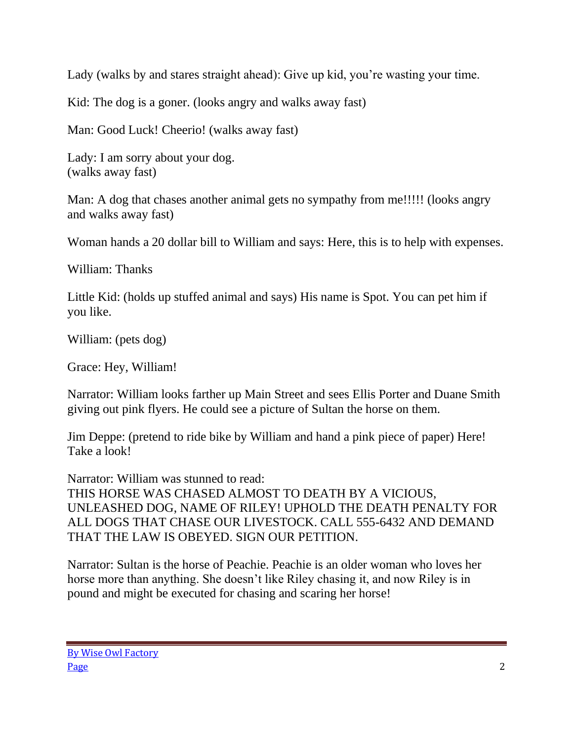Lady (walks by and stares straight ahead): Give up kid, you're wasting your time.

Kid: The dog is a goner. (looks angry and walks away fast)

Man: Good Luck! Cheerio! (walks away fast)

Lady: I am sorry about your dog. (walks away fast)

Man: A dog that chases another animal gets no sympathy from me!!!!! (looks angry and walks away fast)

Woman hands a 20 dollar bill to William and says: Here, this is to help with expenses.

William: Thanks

Little Kid: (holds up stuffed animal and says) His name is Spot. You can pet him if you like.

William: (pets dog)

Grace: Hey, William!

Narrator: William looks farther up Main Street and sees Ellis Porter and Duane Smith giving out pink flyers. He could see a picture of Sultan the horse on them.

Jim Deppe: (pretend to ride bike by William and hand a pink piece of paper) Here! Take a look!

Narrator: William was stunned to read: THIS HORSE WAS CHASED ALMOST TO DEATH BY A VICIOUS, UNLEASHED DOG, NAME OF RILEY! UPHOLD THE DEATH PENALTY FOR ALL DOGS THAT CHASE OUR LIVESTOCK. CALL 555-6432 AND DEMAND THAT THE LAW IS OBEYED. SIGN OUR PETITION.

Narrator: Sultan is the horse of Peachie. Peachie is an older woman who loves her horse more than anything. She doesn't like Riley chasing it, and now Riley is in pound and might be executed for chasing and scaring her horse!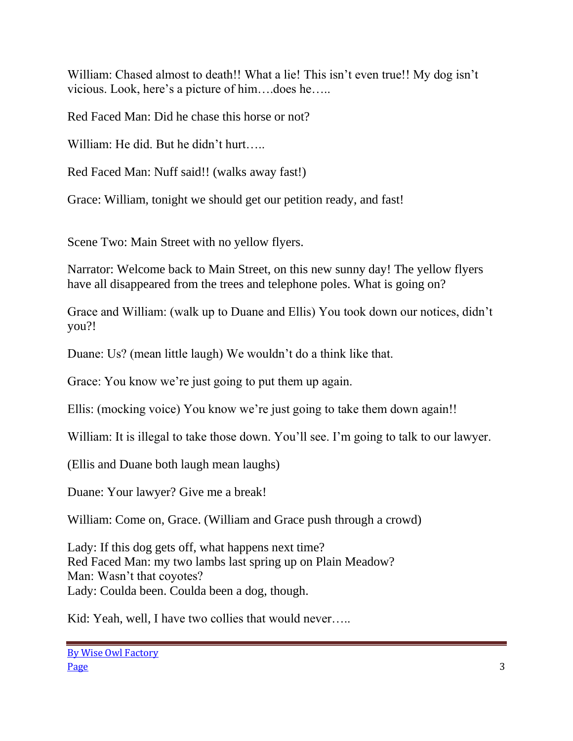William: Chased almost to death!! What a lie! This isn't even true!! My dog isn't vicious. Look, here's a picture of him….does he…..

Red Faced Man: Did he chase this horse or not?

William: He did. But he didn't hurt…..

Red Faced Man: Nuff said!! (walks away fast!)

Grace: William, tonight we should get our petition ready, and fast!

Scene Two: Main Street with no yellow flyers.

Narrator: Welcome back to Main Street, on this new sunny day! The yellow flyers have all disappeared from the trees and telephone poles. What is going on?

Grace and William: (walk up to Duane and Ellis) You took down our notices, didn't you?!

Duane: Us? (mean little laugh) We wouldn't do a think like that.

Grace: You know we're just going to put them up again.

Ellis: (mocking voice) You know we're just going to take them down again!!

William: It is illegal to take those down. You'll see. I'm going to talk to our lawyer.

(Ellis and Duane both laugh mean laughs)

Duane: Your lawyer? Give me a break!

William: Come on, Grace. (William and Grace push through a crowd)

Lady: If this dog gets off, what happens next time? Red Faced Man: my two lambs last spring up on Plain Meadow? Man: Wasn't that coyotes? Lady: Coulda been. Coulda been a dog, though.

Kid: Yeah, well, I have two collies that would never.....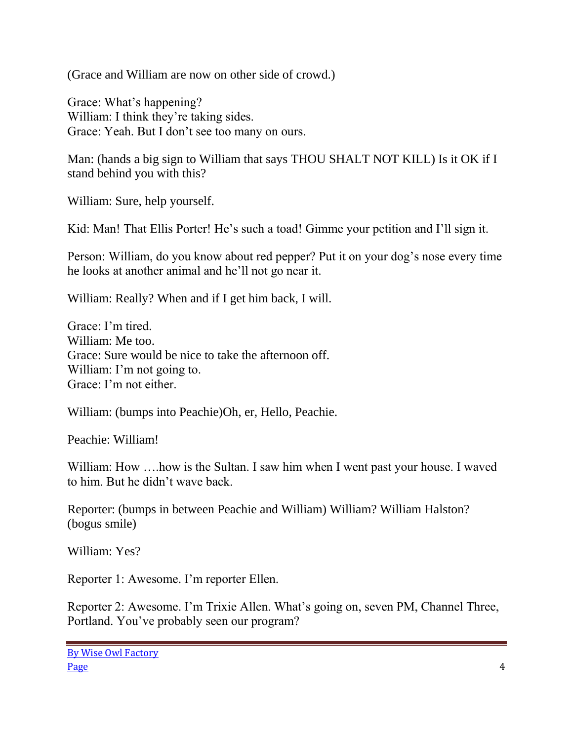(Grace and William are now on other side of crowd.)

Grace: What's happening? William: I think they're taking sides. Grace: Yeah. But I don't see too many on ours.

Man: (hands a big sign to William that says THOU SHALT NOT KILL) Is it OK if I stand behind you with this?

William: Sure, help yourself.

Kid: Man! That Ellis Porter! He's such a toad! Gimme your petition and I'll sign it.

Person: William, do you know about red pepper? Put it on your dog's nose every time he looks at another animal and he'll not go near it.

William: Really? When and if I get him back, I will.

Grace: I'm tired. William: Me too. Grace: Sure would be nice to take the afternoon off. William: I'm not going to. Grace: I'm not either.

William: (bumps into Peachie)Oh, er, Hello, Peachie.

Peachie: William!

William: How ....how is the Sultan. I saw him when I went past your house. I waved to him. But he didn't wave back.

Reporter: (bumps in between Peachie and William) William? William Halston? (bogus smile)

William: Yes?

Reporter 1: Awesome. I'm reporter Ellen.

Reporter 2: Awesome. I'm Trixie Allen. What's going on, seven PM, Channel Three, Portland. You've probably seen our program?

By Wise Owl Factory Page 4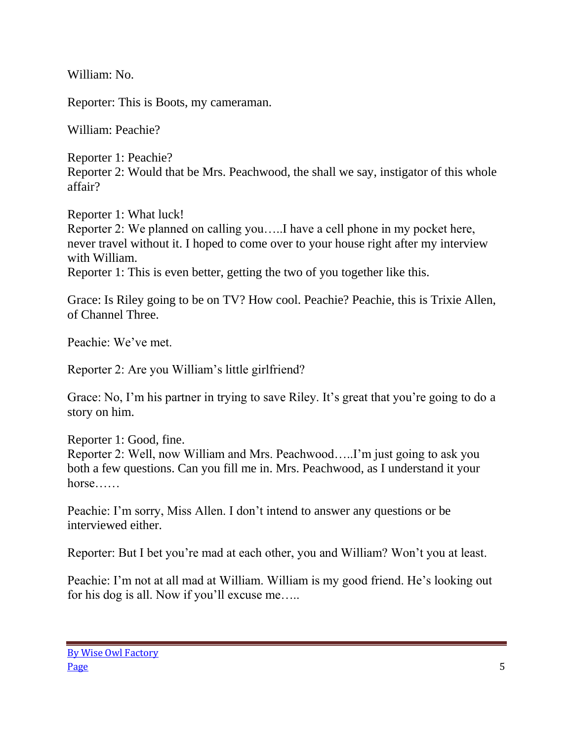William: No.

Reporter: This is Boots, my cameraman.

William: Peachie?

Reporter 1: Peachie? Reporter 2: Would that be Mrs. Peachwood, the shall we say, instigator of this whole affair?

Reporter 1: What luck! Reporter 2: We planned on calling you…..I have a cell phone in my pocket here, never travel without it. I hoped to come over to your house right after my interview with William. Reporter 1: This is even better, getting the two of you together like this.

Grace: Is Riley going to be on TV? How cool. Peachie? Peachie, this is Trixie Allen, of Channel Three.

Peachie: We've met.

Reporter 2: Are you William's little girlfriend?

Grace: No, I'm his partner in trying to save Riley. It's great that you're going to do a story on him.

Reporter 1: Good, fine. Reporter 2: Well, now William and Mrs. Peachwood…..I'm just going to ask you both a few questions. Can you fill me in. Mrs. Peachwood, as I understand it your horse……

Peachie: I'm sorry, Miss Allen. I don't intend to answer any questions or be interviewed either.

Reporter: But I bet you're mad at each other, you and William? Won't you at least.

Peachie: I'm not at all mad at William. William is my good friend. He's looking out for his dog is all. Now if you'll excuse me…..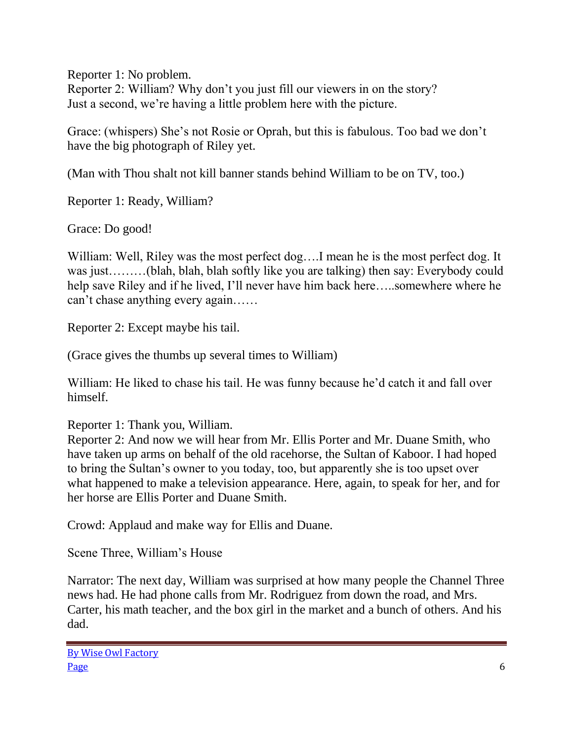Reporter 1: No problem. Reporter 2: William? Why don't you just fill our viewers in on the story? Just a second, we're having a little problem here with the picture.

Grace: (whispers) She's not Rosie or Oprah, but this is fabulous. Too bad we don't have the big photograph of Riley yet.

(Man with Thou shalt not kill banner stands behind William to be on TV, too.)

Reporter 1: Ready, William?

Grace: Do good!

William: Well, Riley was the most perfect dog….I mean he is the most perfect dog. It was just………(blah, blah, blah softly like you are talking) then say: Everybody could help save Riley and if he lived, I'll never have him back here…..somewhere where he can't chase anything every again……

Reporter 2: Except maybe his tail.

(Grace gives the thumbs up several times to William)

William: He liked to chase his tail. He was funny because he'd catch it and fall over himself.

Reporter 1: Thank you, William.

Reporter 2: And now we will hear from Mr. Ellis Porter and Mr. Duane Smith, who have taken up arms on behalf of the old racehorse, the Sultan of Kaboor. I had hoped to bring the Sultan's owner to you today, too, but apparently she is too upset over what happened to make a television appearance. Here, again, to speak for her, and for her horse are Ellis Porter and Duane Smith.

Crowd: Applaud and make way for Ellis and Duane.

Scene Three, William's House

Narrator: The next day, William was surprised at how many people the Channel Three news had. He had phone calls from Mr. Rodriguez from down the road, and Mrs. Carter, his math teacher, and the box girl in the market and a bunch of others. And his dad.